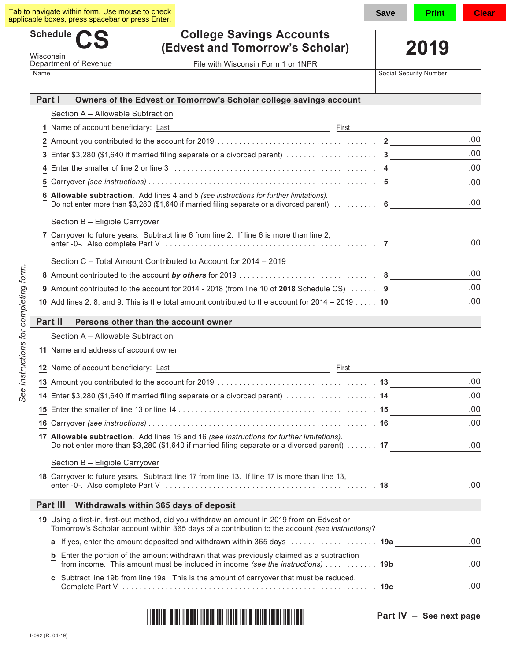**Schedule** CS

| Wisconsin            |  |
|----------------------|--|
| Department of Revenu |  |
|                      |  |

# **<sup>2019</sup> College Savings Accounts (Edvest and Tomorrow's Scholar)**

eerchildent of Revenue File with Wisconsin Form 1 or 1NPR

Save **Print** Clear

Name Social Security Number

| Part I | Owners of the Edvest or Tomorrow's Scholar college savings account                                                                                                                                                                        |      |
|--------|-------------------------------------------------------------------------------------------------------------------------------------------------------------------------------------------------------------------------------------------|------|
|        | Section A - Allowable Subtraction                                                                                                                                                                                                         |      |
|        | 1 Name of account beneficiary: Last<br><b>First Executive Service Service Service Service</b><br><u> 1989 - Johann Barbara, martin amerikan basal dan berasal dan berasal dalam basal dan berasal dalam berasal da</u>                    |      |
|        |                                                                                                                                                                                                                                           | .00  |
| 3      | Enter \$3,280 (\$1,640 if married filing separate or a divorced parent) 3                                                                                                                                                                 | .00  |
| 4      |                                                                                                                                                                                                                                           | .00  |
|        |                                                                                                                                                                                                                                           | .00  |
|        | Allowable subtraction. Add lines 4 and 5 (see instructions for further limitations).<br>Do not enter more than \$3,280 (\$1,640 if married filing separate or a divorced parent) $\dots\dots\dots$ 6                                      | .00. |
|        | Section B - Eligible Carryover                                                                                                                                                                                                            |      |
|        | 7 Carryover to future years. Subtract line 6 from line 2. If line 6 is more than line 2,                                                                                                                                                  | .00  |
|        | Section C - Total Amount Contributed to Account for 2014 - 2019                                                                                                                                                                           |      |
|        |                                                                                                                                                                                                                                           | .00  |
|        | 9 Amount contributed to the account for 2014 - 2018 (from line 10 of 2018 Schedule CS)  9                                                                                                                                                 | .00  |
|        | 10 Add lines 2, 8, and 9. This is the total amount contributed to the account for 2014 – 2019 $\dots$ . 10                                                                                                                                | .00  |
|        | <b>Part II</b><br>Persons other than the account owner                                                                                                                                                                                    |      |
|        | Section A - Allowable Subtraction                                                                                                                                                                                                         |      |
|        | <b>11</b> Name and address of account owner <b>example 20 and 20 and 20 and 20 and 20 and 20 and 20 and 20 and 20 and 20 and 20 and 20 and 20 and 20 and 20 and 20 and 20 and 20 and 20 and 20 and 20 and 20 and 20 and 20 and 20 and</b> |      |
|        | <b>12</b> Name of account beneficiary: Last<br>First<br><u> 1989 - Johann Barn, mars eta bainar eta baina eta baina eta baina eta baina eta baina eta baina eta baina e</u>                                                               |      |
|        |                                                                                                                                                                                                                                           | .00  |
|        | 14 Enter \$3,280 (\$1,640 if married filing separate or a divorced parent) 14                                                                                                                                                             | .00  |
|        |                                                                                                                                                                                                                                           | .00  |
|        |                                                                                                                                                                                                                                           | .00  |
|        | 17 Allowable subtraction. Add lines 15 and 16 (see instructions for further limitations).<br>Do not enter more than \$3,280 (\$1,640 if married filing separate or a divorced parent) 17                                                  | .00  |
|        | Section B - Eligible Carryover                                                                                                                                                                                                            |      |
|        | 18 Carryover to future years. Subtract line 17 from line 13. If line 17 is more than line 13,                                                                                                                                             |      |
|        |                                                                                                                                                                                                                                           | .00  |
|        | Part III<br>Withdrawals within 365 days of deposit                                                                                                                                                                                        |      |
|        | 19 Using a first-in, first-out method, did you withdraw an amount in 2019 from an Edvest or<br>Tomorrow's Scholar account within 365 days of a contribution to the account (see instructions)?                                            |      |
|        |                                                                                                                                                                                                                                           | .00  |
|        | <b>b</b> Enter the portion of the amount withdrawn that was previously claimed as a subtraction<br>from income. This amount must be included in income (see the instructions)  19b                                                        | .00  |
|        | Subtract line 19b from line 19a. This is the amount of carryover that must be reduced.<br>C                                                                                                                                               | .00  |



I-092 (R. 04-19)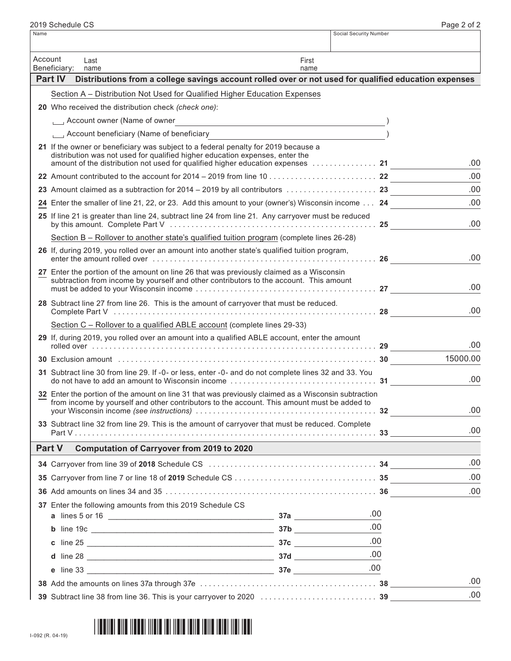| 2019 Schedule CS | Page 2 of 2 |
|------------------|-------------|
|                  |             |

| Name          |                                                                                                                                                                                                                                                       |               | Social Security Number |          |
|---------------|-------------------------------------------------------------------------------------------------------------------------------------------------------------------------------------------------------------------------------------------------------|---------------|------------------------|----------|
|               |                                                                                                                                                                                                                                                       |               |                        |          |
| Account       | Last<br>Beneficiary:<br>name                                                                                                                                                                                                                          | First<br>name |                        |          |
|               | <b>Part IV</b><br>Distributions from a college savings account rolled over or not used for qualified education expenses                                                                                                                               |               |                        |          |
|               | Section A - Distribution Not Used for Qualified Higher Education Expenses                                                                                                                                                                             |               |                        |          |
|               | 20 Who received the distribution check (check one):                                                                                                                                                                                                   |               |                        |          |
|               | Account owner (Name of owner<br><u> a seu de constructivo de la constructivo de la constructivo de la constructivo de la constructivo de la cons</u>                                                                                                  |               |                        |          |
|               | Account beneficiary (Name of beneficiary                                                                                                                                                                                                              |               |                        |          |
|               | 21 If the owner or beneficiary was subject to a federal penalty for 2019 because a<br>distribution was not used for qualified higher education expenses, enter the<br>amount of the distribution not used for qualified higher education expenses  21 |               |                        | .00      |
|               |                                                                                                                                                                                                                                                       |               |                        | .00      |
|               | 23 Amount claimed as a subtraction for $2014 - 2019$ by all contributors $\ldots \ldots \ldots \ldots$                                                                                                                                                |               |                        | .00      |
|               | 24 Enter the smaller of line 21, 22, or 23. Add this amount to your (owner's) Wisconsin income 24                                                                                                                                                     |               |                        | .00      |
|               | 25 If line 21 is greater than line 24, subtract line 24 from line 21. Any carryover must be reduced                                                                                                                                                   |               |                        |          |
|               |                                                                                                                                                                                                                                                       |               |                        | .00      |
|               | Section B - Rollover to another state's qualified tuition program (complete lines 26-28)                                                                                                                                                              |               |                        |          |
|               | 26 If, during 2019, you rolled over an amount into another state's qualified tuition program,                                                                                                                                                         |               |                        | .00.     |
|               | 27 Enter the portion of the amount on line 26 that was previously claimed as a Wisconsin<br>subtraction from income by yourself and other contributors to the account. This amount                                                                    |               |                        | .00      |
|               | 28 Subtract line 27 from line 26. This is the amount of carryover that must be reduced.                                                                                                                                                               |               |                        | .00      |
|               | Section C - Rollover to a qualified ABLE account (complete lines 29-33)                                                                                                                                                                               |               |                        |          |
|               | 29 If, during 2019, you rolled over an amount into a qualified ABLE account, enter the amount                                                                                                                                                         |               |                        |          |
|               |                                                                                                                                                                                                                                                       |               |                        | .00      |
|               |                                                                                                                                                                                                                                                       |               |                        | 15000.00 |
|               | 31 Subtract line 30 from line 29. If -0- or less, enter -0- and do not complete lines 32 and 33. You                                                                                                                                                  |               |                        | .00      |
|               | 32 Enter the portion of the amount on line 31 that was previously claimed as a Wisconsin subtraction<br>from income by yourself and other contributors to the account. This amount must be added to                                                   |               |                        | .00.     |
|               | 33 Subtract line 32 from line 29. This is the amount of carryover that must be reduced. Complete                                                                                                                                                      |               |                        |          |
|               |                                                                                                                                                                                                                                                       |               |                        | .00      |
| <b>Part V</b> | <b>Computation of Carryover from 2019 to 2020</b>                                                                                                                                                                                                     |               |                        |          |
|               |                                                                                                                                                                                                                                                       |               |                        | .00.     |
|               |                                                                                                                                                                                                                                                       |               |                        | .00.     |
|               |                                                                                                                                                                                                                                                       |               |                        | .00      |
|               | 37 Enter the following amounts from this 2019 Schedule CS                                                                                                                                                                                             |               |                        |          |
|               |                                                                                                                                                                                                                                                       |               | .00                    |          |
|               |                                                                                                                                                                                                                                                       |               | .00                    |          |
|               | $line 25$ $\frac{37c}{2}$ $\frac{37c}{2}$ $\frac{37c}{2}$ $\frac{37c}{2}$<br>C                                                                                                                                                                        |               | .00                    |          |
|               |                                                                                                                                                                                                                                                       |               | .00                    |          |
|               | е                                                                                                                                                                                                                                                     |               | .00.                   |          |
|               |                                                                                                                                                                                                                                                       |               |                        | .00.     |
|               |                                                                                                                                                                                                                                                       |               |                        | .00.     |

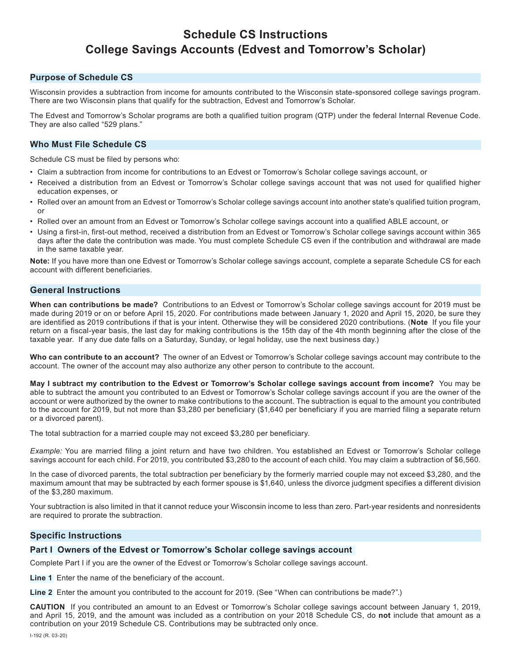# **Schedule CS Instructions College Savings Accounts (Edvest and Tomorrow's Scholar)**

# **Purpose of Schedule CS**

Wisconsin provides a subtraction from income for amounts contributed to the Wisconsin state-sponsored college savings program. There are two Wisconsin plans that qualify for the subtraction, Edvest and Tomorrow's Scholar.

The Edvest and Tomorrow's Scholar programs are both a qualified tuition program (QTP) under the federal Internal Revenue Code. They are also called "529 plans."

#### **Who Must File Schedule CS**

Schedule CS must be filed by persons who:

- Claim a subtraction from income for contributions to an Edvest or Tomorrow's Scholar college savings account, or
- Received a distribution from an Edvest or Tomorrow's Scholar college savings account that was not used for qualified higher education expenses, or
- Rolled over an amount from an Edvest or Tomorrow's Scholar college savings account into another state's qualified tuition program, or
- Rolled over an amount from an Edvest or Tomorrow's Scholar college savings account into a qualified ABLE account, or
- Using a first-in, first-out method, received a distribution from an Edvest or Tomorrow's Scholar college savings account within 365 days after the date the contribution was made. You must complete Schedule CS even if the contribution and withdrawal are made in the same taxable year.

**Note:** If you have more than one Edvest or Tomorrow's Scholar college savings account, complete a separate Schedule CS for each account with different beneficiaries.

# **General Instructions**

**When can contributions be made?** Contributions to an Edvest or Tomorrow's Scholar college savings account for 2019 must be made during 2019 or on or before April 15, 2020. For contributions made between January 1, 2020 and April 15, 2020, be sure they are identified as 2019 contributions if that is your intent. Otherwise they will be considered 2020 contributions. (**Note** If you file your return on a fiscal-year basis, the last day for making contributions is the 15th day of the 4th month beginning after the close of the taxable year. If any due date falls on a Saturday, Sunday, or legal holiday, use the next business day.)

**Who can contribute to an account?** The owner of an Edvest or Tomorrow's Scholar college savings account may contribute to the account. The owner of the account may also authorize any other person to contribute to the account.

**May I subtract my contribution to the Edvest or Tomorrow's Scholar college savings account from income?** You may be able to subtract the amount you contributed to an Edvest or Tomorrow's Scholar college savings account if you are the owner of the account or were authorized by the owner to make contributions to the account. The subtraction is equal to the amount you contributed to the account for 2019, but not more than \$3,280 per beneficiary (\$1,640 per beneficiary if you are married filing a separate return or a divorced parent).

The total subtraction for a married couple may not exceed \$3,280 per beneficiary.

*Example:* You are married filing a joint return and have two children. You established an Edvest or Tomorrow's Scholar college savings account for each child. For 2019, you contributed \$3,280 to the account of each child. You may claim a subtraction of \$6,560.

In the case of divorced parents, the total subtraction per beneficiary by the formerly married couple may not exceed \$3,280, and the maximum amount that may be subtracted by each former spouse is \$1,640, unless the divorce judgment specifies a different division of the \$3,280 maximum.

Your subtraction is also limited in that it cannot reduce your Wisconsin income to less than zero. Part-year residents and nonresidents are required to prorate the subtraction.

# **Specific Instructions**

#### **Part I Owners of the Edvest or Tomorrow's Scholar college savings account**

Complete Part I if you are the owner of the Edvest or Tomorrow's Scholar college savings account.

**Line 1** Enter the name of the beneficiary of the account.

**Line 2** Enter the amount you contributed to the account for 2019. (See "When can contributions be made?".)

**CAUTION** If you contributed an amount to an Edvest or Tomorrow's Scholar college savings account between January 1, 2019, and April 15, 2019, and the amount was included as a contribution on your 2018 Schedule CS, do **not** include that amount as a contribution on your 2019 Schedule CS. Contributions may be subtracted only once.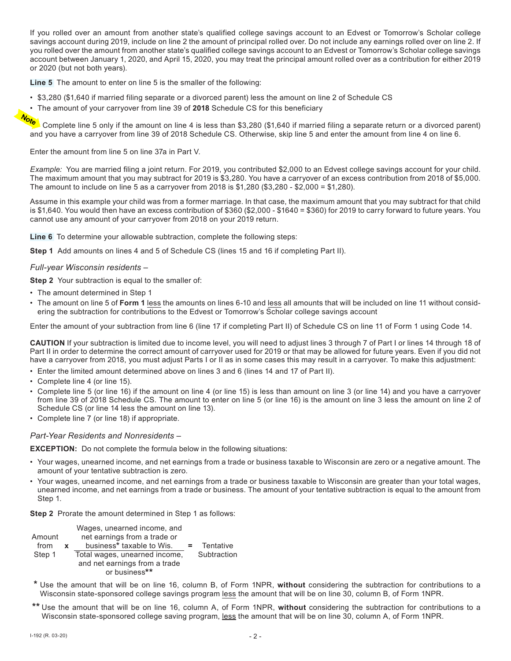If you rolled over an amount from another state's qualified college savings account to an Edvest or Tomorrow's Scholar college savings account during 2019, include on line 2 the amount of principal rolled over. Do not include any earnings rolled over on line 2. If you rolled over the amount from another state's qualifed college savings account to an Edvest or Tomorrow's Scholar college savings account between January 1, 2020, and April 15, 2020, you may treat the principal amount rolled over as a contribution for either 2019 or 2020 (but not both years).

**Line 5** The amount to enter on line 5 is the smaller of the following:

- \$3,280 (\$1,640 if married filing separate or a divorced parent) less the amount on line 2 of Schedule CS
- The amount of your carryover from line 39 of **2018** Schedule CS for this beneficiary

Complete line 5 only if the amount on line 4 is less than \$3,280 (\$1,640 if married filing a separate return or a divorced parent) and you have a carryover from line 39 of 2018 Schedule CS. Otherwise, skip line 5 and enter the amount from line 4 on line 6.

Enter the amount from line 5 on line 37a in Part V.

*Example:* You are married fling a joint return. For 2019, you contributed \$2,000 to an Edvest college savings account for your child. The maximum amount that you may subtract for 2019 is \$3,280. You have a carryover of an excess contribution from 2018 of \$5,000. The amount to include on line 5 as a carryover from 2018 is \$1,280 (\$3,280 - \$2,000 = \$1,280).

Assume in this example your child was from a former marriage. In that case, the maximum amount that you may subtract for that child is \$1,640. You would then have an excess contribution of \$360 (\$2,000 - \$1640 = \$360) for 2019 to carry forward to future years. You cannot use any amount of your carryover from 2018 on your 2019 return.

**Line 6** To determine your allowable subtraction, complete the following steps:

**Step 1** Add amounts on lines 4 and 5 of Schedule CS (lines 15 and 16 if completing Part II).

#### *Full-year Wisconsin residents –*

**Step 2** Your subtraction is equal to the smaller of:

- The amount determined in Step 1
- The amount on line 5 of **Form 1** less the amounts on lines 6-10 and less all amounts that will be included on line 11 without considering the subtraction for contributions to the Edvest or Tomorrow's Scholar college savings account

Enter the amount of your subtraction from line 6 (line 17 if completing Part II) of Schedule CS on line 11 of Form 1 using Code 14.

**CAUTION** If your subtraction is limited due to income level, you will need to adjust lines 3 through 7 of Part I or lines 14 through 18 of Part II in order to determine the correct amount of carryover used for 2019 or that may be allowed for future years. Even if you did not have a carryover from 2018, you must adjust Parts I or II as in some cases this may result in a carryover. To make this adjustment:

- Enter the limited amount determined above on lines 3 and 6 (lines 14 and 17 of Part II).
- Complete line 4 (or line 15).
- Complete line 5 (or line 16) if the amount on line 4 (or line 15) is less than amount on line 3 (or line 14) and you have a carryover from line 39 of 2018 Schedule CS. The amount to enter on line 5 (or line 16) is the amount on line 3 less the amount on line 2 of Schedule CS (or line 14 less the amount on line 13).
- Complete line 7 (or line 18) if appropriate.

#### *Part-Year Residents and Nonresidents –*

**EXCEPTION:** Do not complete the formula below in the following situations:

- Your wages, unearned income, and net earnings from a trade or business taxable to Wisconsin are zero or a negative amount. The amount of your tentative subtraction is zero.
- Your wages, unearned income, and net earnings from a trade or business taxable to Wisconsin are greater than your total wages, unearned income, and net earnings from a trade or business. The amount of your tentative subtraction is equal to the amount from Step 1.

**Step 2** Prorate the amount determined in Step 1 as follows:

| Amount<br>from<br>Step 1 | $\mathbf{x}$ | Wages, unearned income, and<br>net earnings from a trade or<br>business* taxable to Wis.<br>Total wages, unearned income, |  | Tentative<br>Subtraction |
|--------------------------|--------------|---------------------------------------------------------------------------------------------------------------------------|--|--------------------------|
|                          |              | and net earnings from a trade<br>or business**                                                                            |  |                          |

- **\*** Use the amount that will be on line 16, column B, of Form 1NPR, **without** considering the subtraction for contributions to a Wisconsin state-sponsored college savings program less the amount that will be on line 30, column B, of Form 1NPR.
- **\*\*** Use the amount that will be on line 16, column A, of Form 1NPR, **without** considering the subtraction for contributions to a Wisconsin state-sponsored college saving program, less the amount that will be on line 30, column A, of Form 1NPR.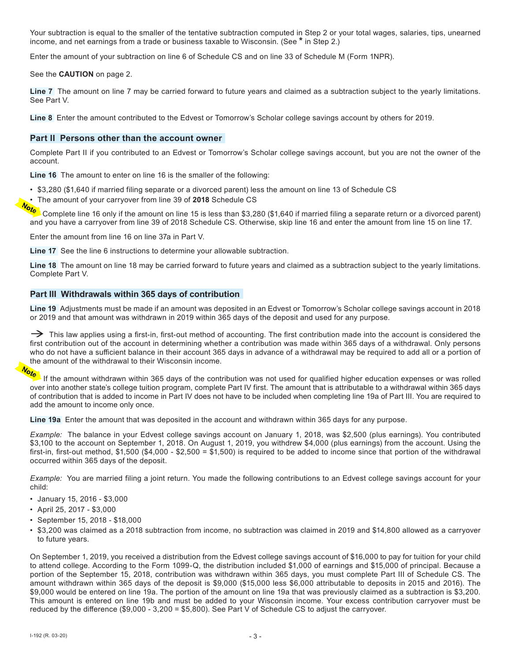Your subtraction is equal to the smaller of the tentative subtraction computed in Step 2 or your total wages, salaries, tips, unearned income, and net earnings from a trade or business taxable to Wisconsin. (See **\*** in Step 2.)

Enter the amount of your subtraction on line 6 of Schedule CS and on line 33 of Schedule M (Form 1NPR).

See the **CAUTION** on page 2.

**Line 7** The amount on line 7 may be carried forward to future years and claimed as a subtraction subject to the yearly limitations. See Part V.

**Line 8** Enter the amount contributed to the Edvest or Tomorrow's Scholar college savings account by others for 2019.

#### **Part II Persons other than the account owner**

Complete Part II if you contributed to an Edvest or Tomorrow's Scholar college savings account, but you are not the owner of the account.

**Line 16** The amount to enter on line 16 is the smaller of the following:

- \$3,280 (\$1,640 if married filing separate or a divorced parent) less the amount on line 13 of Schedule CS
- The amount of your carryover from line 39 of **2018** Schedule CS

Complete line 16 only if the amount on line 15 is less than \$3,280 (\$1,640 if married filing a separate return or a divorced parent) and you have a carryover from line 39 of 2018 Schedule CS. Otherwise, skip line 16 and enter the amount from line 15 on line 17.

Enter the amount from line 16 on line 37a in Part V.

**Line 17** See the line 6 instructions to determine your allowable subtraction.

**Line 18** The amount on line 18 may be carried forward to future years and claimed as a subtraction subject to the yearly limitations. Complete Part V.

#### **Part III Withdrawals within 365 days of contribution**

**Line 19** Adjustments must be made if an amount was deposited in an Edvest or Tomorrow's Scholar college savings account in 2018 or 2019 and that amount was withdrawn in 2019 within 365 days of the deposit and used for any purpose.

 $\rightarrow$  This law applies using a first-in, first-out method of accounting. The first contribution made into the account is considered the frst contribution out of the account in determining whether a contribution was made within 365 days of a withdrawal. Only persons who do not have a sufficient balance in their account 365 days in advance of a withdrawal may be required to add all or a portion of the amount of the withdrawal to their Wisconsin income.

If the amount withdrawn within 365 days of the contribution was not used for qualified higher education expenses or was rolled over into another state's college tuition program, complete Part IV first. The amount that is attributable to a withdrawal within 365 days of contribution that is added to income in Part IV does not have to be included when completing line 19a of Part III. You are required to add the amount to income only once.

**Line 19a** Enter the amount that was deposited in the account and withdrawn within 365 days for any purpose.

*Example:* The balance in your Edvest college savings account on January 1, 2018, was \$2,500 (plus earnings). You contributed \$3,100 to the account on September 1, 2018. On August 1, 2019, you withdrew \$4,000 (plus earnings) from the account. Using the first-in, first-out method,  $$1,500$   $$4,000 - $2,500 = $1,500$  is required to be added to income since that portion of the withdrawal occurred within 365 days of the deposit.

*Example:* You are married filing a joint return. You made the following contributions to an Edvest college savings account for your child:

- January 15, 2016 \$3,000
- April 25, 2017 \$3,000
- September 15, 2018 \$18,000
- \$3,200 was claimed as a 2018 subtraction from income, no subtraction was claimed in 2019 and \$14,800 allowed as a carryover to future years.

On September 1, 2019, you received a distribution from the Edvest college savings account of \$16,000 to pay for tuition for your child to attend college. According to the Form 1099-Q, the distribution included \$1,000 of earnings and \$15,000 of principal. Because a portion of the September 15, 2018, contribution was withdrawn within 365 days, you must complete Part III of Schedule CS. The amount withdrawn within 365 days of the deposit is \$9,000 (\$15,000 less \$6,000 attributable to deposits in 2015 and 2016). The \$9,000 would be entered on line 19a. The portion of the amount on line 19a that was previously claimed as a subtraction is \$3,200. This amount is entered on line 19b and must be added to your Wisconsin income. Your excess contribution carryover must be reduced by the diference (\$9,000 - 3,200 = \$5,800). See Part V of Schedule CS to adjust the carryover.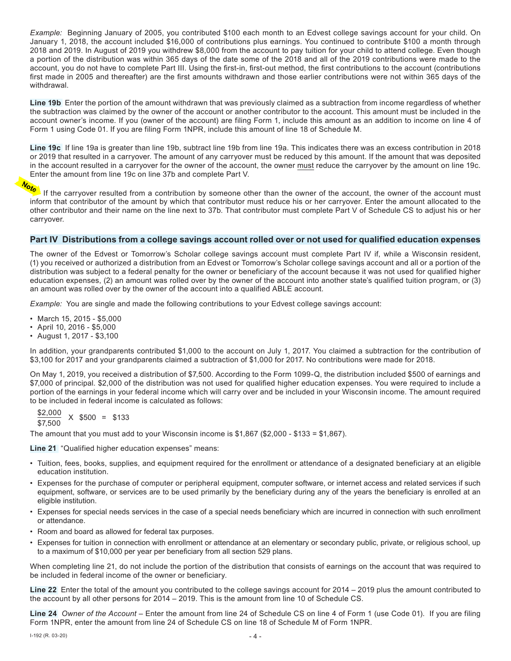*Example:* Beginning January of 2005, you contributed \$100 each month to an Edvest college savings account for your child. On January 1, 2018, the account included \$16,000 of contributions plus earnings. You continued to contribute \$100 a month through 2018 and 2019. In August of 2019 you withdrew \$8,000 from the account to pay tuition for your child to attend college. Even though a portion of the distribution was within 365 days of the date some of the 2018 and all of the 2019 contributions were made to the account, you do not have to complete Part III. Using the frst-in, frst-out method, the frst contributions to the account (contributions frst made in 2005 and thereafter) are the frst amounts withdrawn and those earlier contributions were not within 365 days of the withdrawal.

**Line 19b** Enter the portion of the amount withdrawn that was previously claimed as a subtraction from income regardless of whether the subtraction was claimed by the owner of the account or another contributor to the account. This amount must be included in the account owner's income. If you (owner of the account) are filing Form 1, include this amount as an addition to income on line 4 of Form 1 using Code 01. If you are filing Form 1NPR, include this amount of line 18 of Schedule M.

**Line 19c** If line 19a is greater than line 19b, subtract line 19b from line 19a. This indicates there was an excess contribution in 2018 or 2019 that resulted in a carryover. The amount of any carryover must be reduced by this amount. If the amount that was deposited in the account resulted in a carryover for the owner of the account, the owner must reduce the carryover by the amount on line 19c. Enter the amount from line 19c on line 37b and complete Part V.<br>Also have part of the sameone of

If the carryover resulted from a contribution by someone other than the owner of the account, the owner of the account must inform that contributor of the amount by which that contributor must reduce his or her carryover. Enter the amount allocated to the other contributor and their name on the line next to 37b. That contributor must complete Part V of Schedule CS to adjust his or her carryover.

# **Part IV Distributions from a college savings account rolled over or not used for qualified education expenses**

The owner of the Edvest or Tomorrow's Scholar college savings account must complete Part IV if, while a Wisconsin resident, (1) you received or authorized a distribution from an Edvest or Tomorrow's Scholar college savings account and all or a portion of the distribution was subject to a federal penalty for the owner or beneficiary of the account because it was not used for qualified higher education expenses, (2) an amount was rolled over by the owner of the account into another state's qualified tuition program, or (3) an amount was rolled over by the owner of the account into a qualified ABLE account.

*Example:* You are single and made the following contributions to your Edvest college savings account:

- March 15, 2015 \$5,000
- April 10, 2016 \$5,000
- August 1, 2017 \$3,100

In addition, your grandparents contributed \$1,000 to the account on July 1, 2017. You claimed a subtraction for the contribution of \$3,100 for 2017 and your grandparents claimed a subtraction of \$1,000 for 2017. No contributions were made for 2018.

On May 1, 2019, you received a distribution of \$7,500. According to the Form 1099-Q, the distribution included \$500 of earnings and \$7,000 of principal. \$2,000 of the distribution was not used for qualifed higher education expenses. You were required to include a portion of the earnings in your federal income which will carry over and be included in your Wisconsin income. The amount required to be included in federal income is calculated as follows:

\$2,000  $\overline{$7,500}$ X \$500 = \$133

The amount that you must add to your Wisconsin income is  $$1,867$  ( $$2,000 - $133 = $1,867$ ).

**Line 21** "Qualified higher education expenses" means:

- Tuition, fees, books, supplies, and equipment required for the enrollment or attendance of a designated beneficiary at an eligible education institution.
- Expenses for the purchase of computer or peripheral equipment, computer software, or internet access and related services if such equipment, software, or services are to be used primarily by the beneficiary during any of the years the beneficiary is enrolled at an eligible institution.
- Expenses for special needs services in the case of a special needs benefciary which are incurred in connection with such enrollment or attendance.
- Room and board as allowed for federal tax purposes.
- Expenses for tuition in connection with enrollment or attendance at an elementary or secondary public, private, or religious school, up to a maximum of \$10,000 per year per beneficiary from all section 529 plans.

When completing line 21, do not include the portion of the distribution that consists of earnings on the account that was required to be included in federal income of the owner or beneficiary.

**Line 22** Enter the total of the amount you contributed to the college savings account for 2014 – 2019 plus the amount contributed to the account by all other persons for 2014 – 2019. This is the amount from line 10 of Schedule CS.

**Line 24** *Owner of the Account* – Enter the amount from line 24 of Schedule CS on line 4 of Form 1 (use Code 01). If you are filing Form 1NPR, enter the amount from line 24 of Schedule CS on line 18 of Schedule M of Form 1NPR.